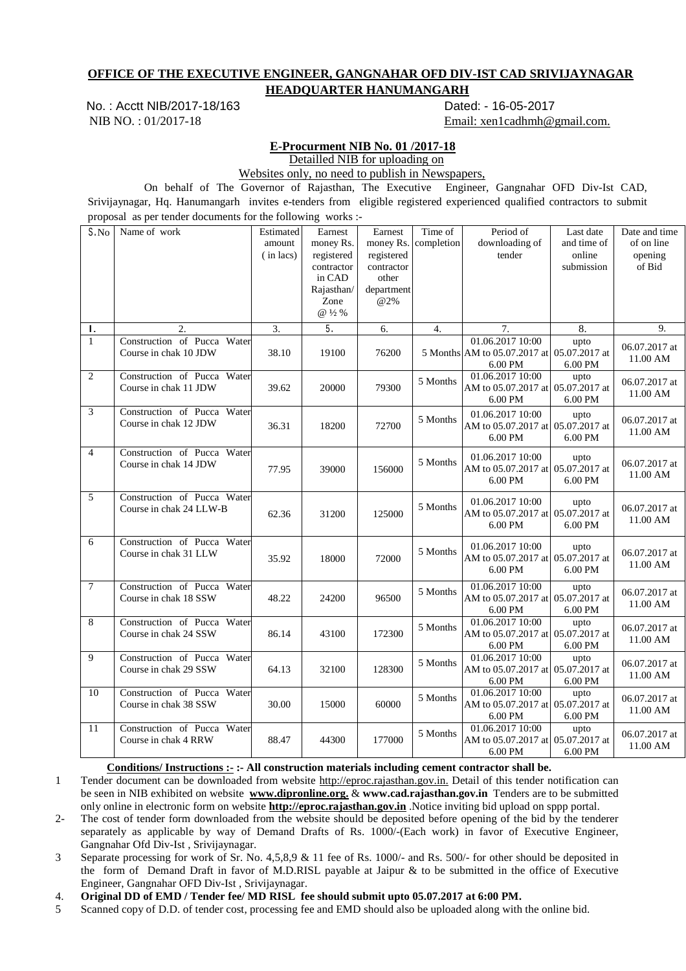## **OFFICE OF THE EXECUTIVE ENGINEER, GANGNAHAR OFD DIV-IST CAD SRIVIJAYNAGAR HEADQUARTER HANUMANGARH**

No. : Acctt NIB/2017-18/163 Dated: - 16-05-2017

NIB NO. : 01/2017-18 Email: xen1cadhmh@gmail.com.

## **E-Procurment NIB No. 01 /2017-18**

Detailled NIB for uploading on

Websites only, no need to publish in Newspapers,

 On behalf of The Governor of Rajasthan, The Executive Engineer, Gangnahar OFD Div-Ist CAD, Srivijaynagar, Hq. Hanumangarh invites e-tenders from eligible registered experienced qualified contractors to submit proposal as per tender documents for the following works :-

| S.No            | proposar as per tender documents for the ronowing<br>Name of work | Estimated<br>amount<br>(in lacs) | $\cdots$ or $\cdots$<br>Earnest<br>money Rs.<br>registered<br>contractor<br>in CAD<br>Rajasthan/<br>Zone<br>@ 1/2 % | Earnest<br>money Rs.<br>registered<br>contractor<br>other<br>department<br>@2% | Time of<br>completion | Period of<br>downloading of<br>tender                                     | Last date<br>and time of<br>online<br>submission | Date and time<br>of on line<br>opening<br>of Bid |
|-----------------|-------------------------------------------------------------------|----------------------------------|---------------------------------------------------------------------------------------------------------------------|--------------------------------------------------------------------------------|-----------------------|---------------------------------------------------------------------------|--------------------------------------------------|--------------------------------------------------|
| Τ.              | 2.                                                                | 3.                               | 5.                                                                                                                  | 6.                                                                             | 4.                    | 7.                                                                        | 8.                                               | 9.                                               |
| $\mathbf{1}$    | Construction of Pucca Water<br>Course in chak 10 JDW              | 38.10                            | 19100                                                                                                               | 76200                                                                          |                       | 01.06.2017 10:00<br>5 Months AM to 05.07.2017 at 05.07.2017 at<br>6.00 PM | upto<br>6.00 PM                                  | 06.07.2017 at<br>11.00 AM                        |
| $\overline{c}$  | Construction of Pucca Water<br>Course in chak 11 JDW              | 39.62                            | 20000                                                                                                               | 79300                                                                          | 5 Months              | 01.06.2017 10:00<br>AM to 05.07.2017 at 05.07.2017 at<br>6.00 PM          | upto<br>6.00 PM                                  | 06.07.2017 at<br>11.00 AM                        |
| 3               | Construction of Pucca Water<br>Course in chak 12 JDW              | 36.31                            | 18200                                                                                                               | 72700                                                                          | 5 Months              | 01.06.2017 10:00<br>AM to 05.07.2017 at 05.07.2017 at<br>6.00 PM          | upto<br>6.00 PM                                  | 06.07.2017 at<br>11.00 AM                        |
| $\overline{4}$  | Construction of Pucca Water<br>Course in chak 14 JDW              | 77.95                            | 39000                                                                                                               | 156000                                                                         | 5 Months              | 01.06.2017 10:00<br>AM to 05.07.2017 at 05.07.2017 at<br>6.00 PM          | upto<br>6.00 PM                                  | 06.07.2017 at<br>11.00 AM                        |
| 5               | Construction of Pucca Water<br>Course in chak 24 LLW-B            | 62.36                            | 31200                                                                                                               | 125000                                                                         | 5 Months              | 01.06.2017 10:00<br>AM to 05.07.2017 at 05.07.2017 at<br>6.00 PM          | upto<br>6.00 PM                                  | 06.07.2017 at<br>11.00 AM                        |
| 6               | Construction of Pucca Water<br>Course in chak 31 LLW              | 35.92                            | 18000                                                                                                               | 72000                                                                          | 5 Months              | 01.06.2017 10:00<br>AM to 05.07.2017 at 05.07.2017 at<br>6.00 PM          | upto<br>6.00 PM                                  | 06.07.2017 at<br>11.00 AM                        |
| $\overline{7}$  | Construction of Pucca Water<br>Course in chak 18 SSW              | 48.22                            | 24200                                                                                                               | 96500                                                                          | 5 Months              | 01.06.2017 10:00<br>AM to 05.07.2017 at 05.07.2017 at<br>6.00 PM          | upto<br>6.00 PM                                  | 06.07.2017 at<br>11.00 AM                        |
| 8               | Construction of Pucca Water<br>Course in chak 24 SSW              | 86.14                            | 43100                                                                                                               | 172300                                                                         | 5 Months              | 01.06.2017 10:00<br>AM to 05.07.2017 at 05.07.2017 at<br>6.00 PM          | upto<br>6.00 PM                                  | 06.07.2017 at<br>11.00 AM                        |
| 9               | Construction of Pucca Water<br>Course in chak 29 SSW              | 64.13                            | 32100                                                                                                               | 128300                                                                         | 5 Months              | 01.06.2017 10:00<br>AM to 05.07.2017 at 05.07.2017 at<br>6.00 PM          | upto<br>6.00 PM                                  | 06.07.2017 at<br>11.00 AM                        |
| $\overline{10}$ | Construction of Pucca Water<br>Course in chak 38 SSW              | 30.00                            | 15000                                                                                                               | 60000                                                                          | 5 Months              | 01.06.2017 10:00<br>AM to 05.07.2017 at 05.07.2017 at<br>6.00 PM          | upto<br>6.00 PM                                  | 06.07.2017 at<br>11.00 AM                        |
| 11              | Construction of Pucca Water<br>Course in chak 4 RRW               | 88.47                            | 44300                                                                                                               | 177000                                                                         | 5 Months              | 01.06.2017 10:00<br>AM to 05.07.2017 at 05.07.2017 at<br>6.00 PM          | upto<br>6.00 PM                                  | 06.07.2017 at<br>11.00 AM                        |

Conditions/ Instructions :- :- All construction materials including cement contractor shall be.

1 Tender document can be downloaded from website http://eproc.rajasthan.gov.in. Detail of this tender notification can be seen in NIB exhibited on website **www.dipronline.org.** & **www.cad.rajasthan.gov.in** Tenders are to be submitted only online in electronic form on website **http://eproc.rajasthan.gov.in** .Notice inviting bid upload on sppp portal.

2- The cost of tender form downloaded from the website should be deposited before opening of the bid by the tenderer separately as applicable by way of Demand Drafts of Rs. 1000/-(Each work) in favor of Executive Engineer, Gangnahar Ofd Div-Ist , Srivijaynagar.

3 Separate processing for work of Sr. No. 4,5,8,9 & 11 fee of Rs. 1000/- and Rs. 500/- for other should be deposited in the form of Demand Draft in favor of M.D.RISL payable at Jaipur & to be submitted in the office of Executive Engineer, Gangnahar OFD Div-Ist , Srivijaynagar.

4. **Original DD of EMD / Tender fee/ MD RISL fee should submit upto 05.07.2017 at 6:00 PM.**

5 Scanned copy of D.D. of tender cost, processing fee and EMD should also be uploaded along with the online bid.